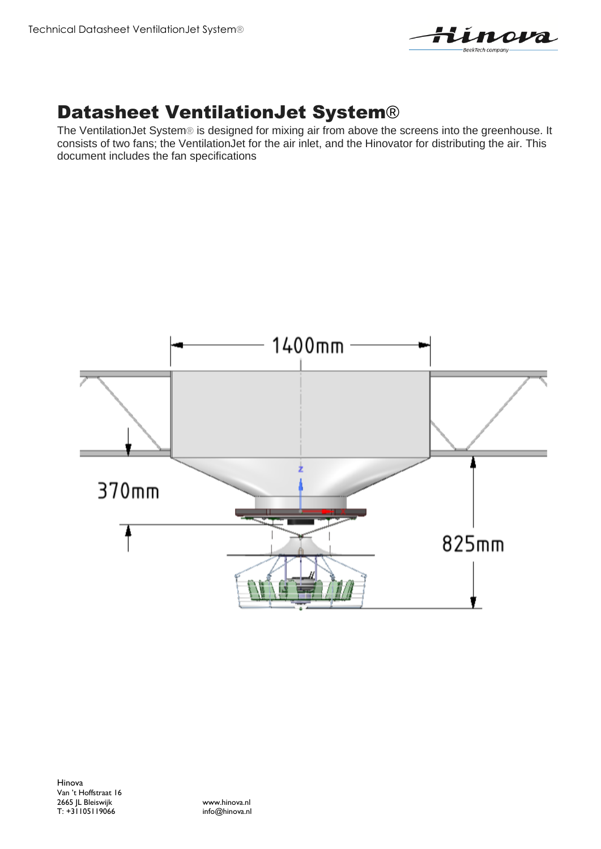

## Datasheet VentilationJet System®

The VentilationJet System® is designed for mixing air from above the screens into the greenhouse. It consists of two fans; the VentilationJet for the air inlet, and the Hinovator for distributing the air. This document includes the fan specifications

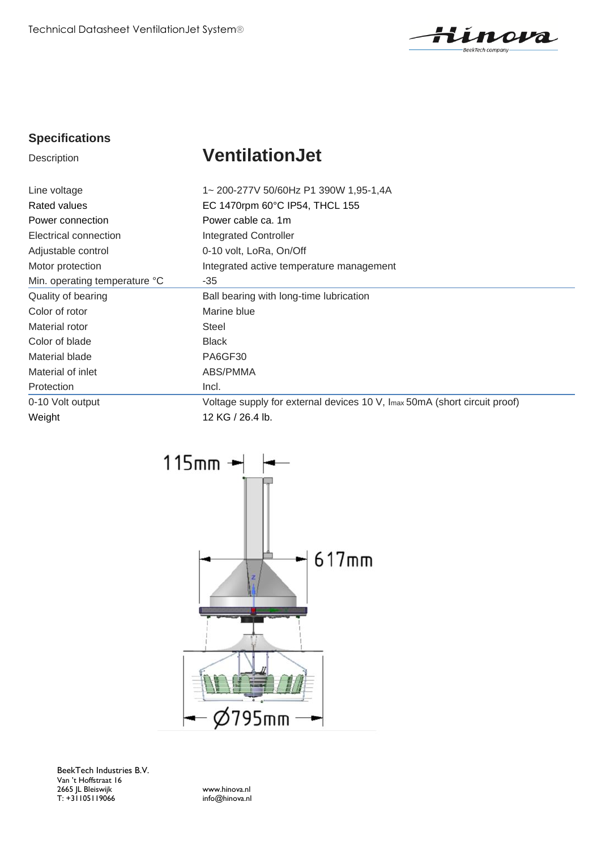Technical Datasheet VentilationJet System®



#### **Specifications**

# **Description VentilationJet**

| Line voltage                  | 1~200-277V 50/60Hz P1 390W 1,95-1,4A                                      |
|-------------------------------|---------------------------------------------------------------------------|
| Rated values                  | EC 1470rpm 60°C IP54, THCL 155                                            |
| Power connection              | Power cable ca. 1m                                                        |
| Electrical connection         | <b>Integrated Controller</b>                                              |
| Adjustable control            | 0-10 volt, LoRa, On/Off                                                   |
| Motor protection              | Integrated active temperature management                                  |
| Min. operating temperature °C | $-35$                                                                     |
| Quality of bearing            | Ball bearing with long-time lubrication                                   |
| Color of rotor                | Marine blue                                                               |
| Material rotor                | <b>Steel</b>                                                              |
| Color of blade                | <b>Black</b>                                                              |
| Material blade                | PA6GF30                                                                   |
| Material of inlet             | ABS/PMMA                                                                  |
| Protection                    | Incl.                                                                     |
| 0-10 Volt output              | Voltage supply for external devices 10 V, Imax 50mA (short circuit proof) |
| Weight                        | 12 KG / 26.4 lb.                                                          |



BeekTech Industries B.V. Van 't Hoffstraat 16 2665 JL Bleiswijk www.hinova.nl T: +31105119066 info@hinova.nl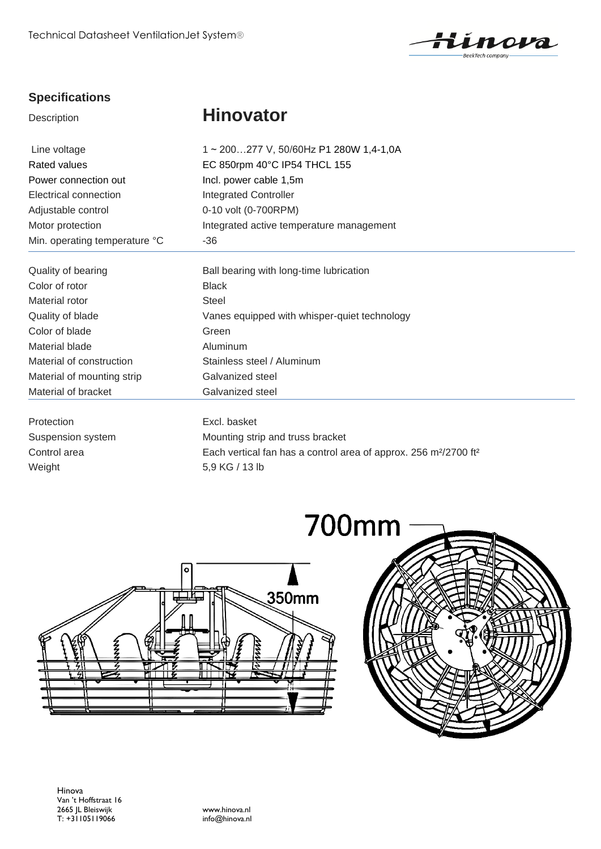

### **Specifications**

## Description **Hinovator**

| Line voltage                  | 1~200277 V, 50/60Hz P1 280W 1,4-1,0A         |  |
|-------------------------------|----------------------------------------------|--|
| Rated values                  | EC 850rpm 40°C IP54 THCL 155                 |  |
| Power connection out          | Incl. power cable 1,5m                       |  |
| Electrical connection         | <b>Integrated Controller</b>                 |  |
| Adjustable control            | 0-10 volt (0-700RPM)                         |  |
| Motor protection              | Integrated active temperature management     |  |
| Min. operating temperature °C | -36                                          |  |
| Quality of bearing            | Ball bearing with long-time lubrication      |  |
| Color of rotor                | <b>Black</b>                                 |  |
| Material rotor                | Steel                                        |  |
| Quality of blade              | Vanes equipped with whisper-quiet technology |  |
| Color of blade                | Green                                        |  |
| Material blade                | Aluminum                                     |  |

Protection **Excl. basket** 

Suspension system Mounting strip and truss bracket Control area Each vertical fan has a control area of approx. 256 m²/2700 ft² Weight 5,9 KG / 13 lb



Material of construction Stainless steel / Aluminum

Material of mounting strip Galvanized steel Material of bracket Galvanized steel